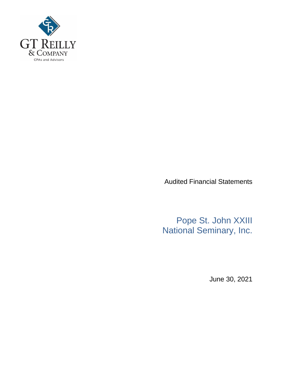

Audited Financial Statements

Pope St. John XXIII National Seminary, Inc.

June 30, 2021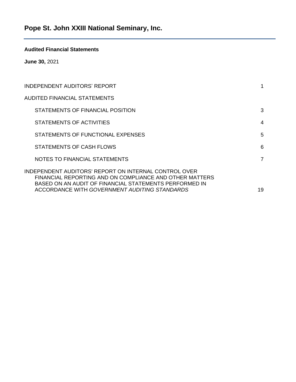# **Pope St. John XXIII National Seminary, Inc.**

## **Audited Financial Statements**

**June 30,** 2021

| 3  |
|----|
| 4  |
| 5  |
| 6  |
| 7  |
| 19 |
|    |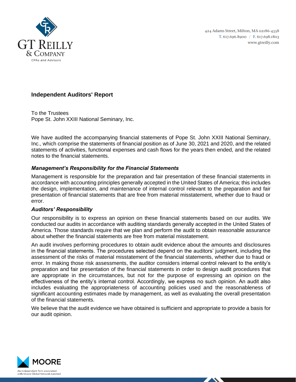

424 Adams Street, Milton, MA 02186-4358 T. 617.696.8900 / F. 617.698.1803 www.gtreilly.com

## **Independent Auditors' Report**

To the Trustees Pope St. John XXIII National Seminary, Inc.

We have audited the accompanying financial statements of Pope St. John XXIII National Seminary, Inc., which comprise the statements of financial position as of June 30, 2021 and 2020, and the related statements of activities, functional expenses and cash flows for the years then ended, and the related notes to the financial statements.

### *Management's Responsibility for the Financial Statements*

Management is responsible for the preparation and fair presentation of these financial statements in accordance with accounting principles generally accepted in the United States of America; this includes the design, implementation, and maintenance of internal control relevant to the preparation and fair presentation of financial statements that are free from material misstatement, whether due to fraud or error.

#### *Auditors' Responsibility*

Our responsibility is to express an opinion on these financial statements based on our audits. We conducted our audits in accordance with auditing standards generally accepted in the United States of America. Those standards require that we plan and perform the audit to obtain reasonable assurance about whether the financial statements are free from material misstatement.

An audit involves performing procedures to obtain audit evidence about the amounts and disclosures in the financial statements. The procedures selected depend on the auditors' judgment, including the assessment of the risks of material misstatement of the financial statements, whether due to fraud or error. In making those risk assessments, the auditor considers internal control relevant to the entity's preparation and fair presentation of the financial statements in order to design audit procedures that are appropriate in the circumstances, but not for the purpose of expressing an opinion on the effectiveness of the entity's internal control. Accordingly, we express no such opinion. An audit also includes evaluating the appropriateness of accounting policies used and the reasonableness of significant accounting estimates made by management, as well as evaluating the overall presentation of the financial statements.

We believe that the audit evidence we have obtained is sufficient and appropriate to provide a basis for our audit opinion.



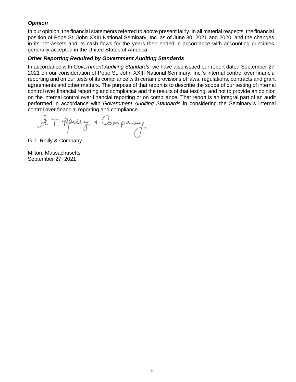## *Opinion*

In our opinion, the financial statements referred to above present fairly, in all material respects, the financial position of Pope St. John XXIII National Seminary, Inc. as of June 30, 2021 and 2020, and the changes in its net assets and its cash flows for the years then ended in accordance with accounting principles generally accepted in the United States of America.

### *Other Reporting Required by Government Auditing Standards*

In accordance with *Government Auditing Standards*, we have also issued our report dated September 27, 2021 on our consideration of Pope St. John XXIII National Seminary, Inc.'s internal control over financial reporting and on our tests of its compliance with certain provisions of laws, regulations, contracts and grant agreements and other matters. The purpose of that report is to describe the scope of our testing of internal control over financial reporting and compliance and the results of that testing, and not to provide an opinion on the internal control over financial reporting or on compliance. That report is an integral part of an audit performed in accordance with *Government Auditing Standards* in considering the Seminary`s internal

control over financial reporting and compliance.<br> $A. T. P9uu + Cem + awy$ 

G.T. Reilly & Company

Milton, Massachusetts September 27, 2021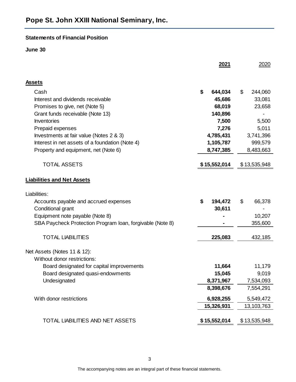## **Statements of Financial Position**

#### **June 30**

|                                                           | 2021          | 2020          |
|-----------------------------------------------------------|---------------|---------------|
| <b>Assets</b>                                             |               |               |
| Cash                                                      | \$<br>644,034 | \$<br>244,060 |
| Interest and dividends receivable                         | 45,686        | 33,081        |
| Promises to give, net (Note 5)                            | 68,019        | 23,658        |
| Grant funds receivable (Note 13)                          | 140,896       |               |
| Inventories                                               | 7,500         | 5,500         |
| Prepaid expenses                                          | 7,276         | 5,011         |
| Investments at fair value (Notes 2 & 3)                   | 4,785,431     | 3,741,396     |
| Interest in net assets of a foundation (Note 4)           | 1,105,787     | 999,579       |
| Property and equipment, net (Note 6)                      | 8,747,385     | 8,483,663     |
|                                                           |               |               |
| <b>TOTAL ASSETS</b>                                       | \$15,552,014  | \$13,535,948  |
| <b>Liabilities and Net Assets</b>                         |               |               |
| Liabilities:                                              |               |               |
| Accounts payable and accrued expenses                     | \$<br>194,472 | \$<br>66,378  |
| Conditional grant                                         | 30,611        |               |
| Equipment note payable (Note 8)                           |               | 10,207        |
| SBA Paycheck Protection Program Ioan, forgivable (Note 8) |               | 355,600       |
| <b>TOTAL LIABILITIES</b>                                  | 225,083       | 432,185       |
| Net Assets (Notes 11 & 12):                               |               |               |
| Without donor restrictions:                               |               |               |
| Board designated for capital improvements                 | 11,664        | 11,179        |
| Board designated quasi-endowments                         | 15,045        | 9,019         |
| Undesignated                                              | 8,371,967     | 7,534,093     |
|                                                           | 8,398,676     | 7,554,291     |
| With donor restrictions                                   | 6,928,255     | 5,549,472     |
|                                                           | 15,326,931    | 13,103,763    |
| TOTAL LIABILITIES AND NET ASSETS                          | \$15,552,014  | \$13,535,948  |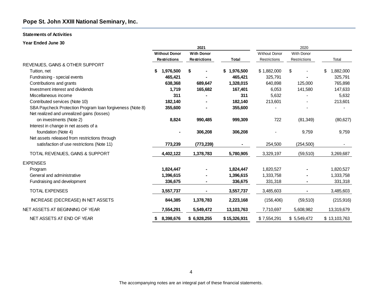## **Pope St. John XXIII National Seminary, Inc.**

#### **Statements of Activities**

#### **Year Ended June 30**

|                                                           | 2021                 |                     |                     |                 | 2020                 |                   |                 |
|-----------------------------------------------------------|----------------------|---------------------|---------------------|-----------------|----------------------|-------------------|-----------------|
|                                                           | <b>Without Donor</b> |                     | <b>With Donor</b>   |                 | <b>Without Donor</b> | <b>With Donor</b> |                 |
|                                                           |                      | <b>Restrictions</b> | <b>Restrictions</b> | <b>Total</b>    | Restrictions         | Restrictions      | Total           |
| REVENUES, GAINS & OTHER SUPPORT                           |                      |                     |                     |                 |                      |                   |                 |
| Tuition, net                                              | S.                   | 1,976,500           | \$                  | 1,976,500<br>S. | \$1,882,000          | \$                | ,882,000<br>\$. |
| Fundraising - special events                              |                      | 465,421             |                     | 465,421         | 325,791              |                   | 325,791         |
| Contributions and grants                                  |                      | 638,368             | 689,647             | 1,328,015       | 640,898              | 125,000           | 765,898         |
| Investment interest and dividends                         |                      | 1,719               | 165,682             | 167,401         | 6,053                | 141,580           | 147,633         |
| Miscellaneous income                                      |                      | 311                 |                     | 311             | 5,632                |                   | 5,632           |
| Contributed services (Note 10)                            |                      | 182,140             |                     | 182,140         | 213,601              |                   | 213,601         |
| SBA Paycheck Protection Program Ioan forgiveness (Note 8) |                      | 355,600             |                     | 355,600         |                      |                   |                 |
| Net realized and unrealized gains (losses)                |                      |                     |                     |                 |                      |                   |                 |
| on investments (Note 2)                                   |                      | 8,824               | 990,485             | 999,309         | 722                  | (81, 349)         | (80, 627)       |
| Interest in change in net assets of a                     |                      |                     |                     |                 |                      |                   |                 |
| foundation (Note 4)                                       |                      |                     | 306,208             | 306,208         |                      | 9,759             | 9,759           |
| Net assets released from restrictions through             |                      |                     |                     |                 |                      |                   |                 |
| satisfaction of use restrictions (Note 11)                |                      | 773,239             | (773, 239)          |                 | 254,500              | (254, 500)        |                 |
| TOTAL REVENUES, GAINS & SUPPORT                           |                      | 4,402,122           | 1,378,783           | 5,780,905       | 3,329,197            | (59, 510)         | 3,269,687       |
| <b>EXPENSES</b>                                           |                      |                     |                     |                 |                      |                   |                 |
| Program                                                   |                      | 1,824,447           |                     | 1,824,447       | 1,820,527            |                   | 1,820,527       |
| General and administrative                                |                      | 1,396,615           |                     | 1,396,615       | 1,333,758            |                   | 1,333,758       |
| Fundraising and development                               |                      | 336,675             |                     | 336,675         | 331,318              |                   | 331,318         |
| <b>TOTAL EXPENSES</b>                                     |                      | 3,557,737           |                     | 3,557,737       | 3,485,603            |                   | 3,485,603       |
| <b>INCREASE (DECREASE) IN NET ASSETS</b>                  |                      | 844,385             | 1,378,783           | 2,223,168       | (156, 406)           | (59, 510)         | (215, 916)      |
| NET ASSETS AT BEGINNING OF YEAR                           |                      | 7,554,291           | 5,549,472           | 13,103,763      | 7,710,697            | 5,608,982         | 13,319,679      |
| NET ASSETS AT END OF YEAR                                 | \$                   | 8,398,676           | \$6,928,255         | \$15,326,931    | \$7,554,291          | \$5,549,472       | \$13,103,763    |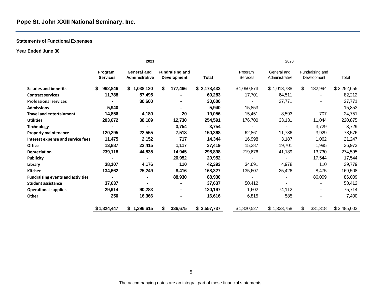#### **Statements of Functional Expenses**

#### **Year Ended June 30**

|                                          | 2021                       |                               |                                              | 2020        |                     |                               |                                |             |
|------------------------------------------|----------------------------|-------------------------------|----------------------------------------------|-------------|---------------------|-------------------------------|--------------------------------|-------------|
|                                          | Program<br><b>Services</b> | General and<br>Administrative | <b>Fundraising and</b><br><b>Development</b> | Total       | Program<br>Services | General and<br>Administrative | Fundraising and<br>Development | Total       |
| <b>Salaries and benefits</b>             | 962,846<br>S               | 1,038,120<br>S.               | 177,466<br>S.                                | \$2,178,432 | \$1,050,873         | \$1,018,788                   | \$<br>182,994                  | \$2,252,655 |
| <b>Contract services</b>                 | 11,788                     | 57,495                        |                                              | 69,283      | 17,701              | 64,511                        |                                | 82,212      |
| <b>Professional services</b>             |                            | 30,600                        |                                              | 30,600      |                     | 27,771                        |                                | 27,771      |
| <b>Admissions</b>                        | 5,940                      |                               |                                              | 5,940       | 15,853              |                               |                                | 15,853      |
| <b>Travel and entertainment</b>          | 14,856                     | 4,180                         | 20                                           | 19,056      | 15,451              | 8,593                         | 707                            | 24,751      |
| <b>Utilities</b>                         | 203,672                    | 38,189                        | 12,730                                       | 254,591     | 176,700             | 33,131                        | 11,044                         | 220,875     |
| <b>Technology</b>                        |                            |                               | 3,754                                        | 3,754       |                     |                               | 3,729                          | 3,729       |
| <b>Property maintenance</b>              | 120,295                    | 22,555                        | 7,518                                        | 150,368     | 62,861              | 11,786                        | 3,929                          | 78,576      |
| Interest expense and service fees        | 11,475                     | 2,152                         | 717                                          | 14,344      | 16,998              | 3,187                         | 1,062                          | 21,247      |
| <b>Office</b>                            | 13,887                     | 22,415                        | 1,117                                        | 37,419      | 15,287              | 19,701                        | 1,985                          | 36,973      |
| Depreciation                             | 239,118                    | 44,835                        | 14,945                                       | 298,898     | 219,676             | 41,189                        | 13,730                         | 274,595     |
| <b>Publicity</b>                         |                            |                               | 20,952                                       | 20,952      |                     |                               | 17,544                         | 17,544      |
| Library                                  | 38,107                     | 4,176                         | 110                                          | 42,393      | 34,691              | 4,978                         | 110                            | 39,779      |
| Kitchen                                  | 134,662                    | 25,249                        | 8,416                                        | 168,327     | 135,607             | 25,426                        | 8,475                          | 169,508     |
| <b>Fundraising events and activities</b> |                            |                               | 88,930                                       | 88,930      |                     |                               | 86,009                         | 86,009      |
| <b>Student assistance</b>                | 37,637                     |                               |                                              | 37,637      | 50,412              |                               | ۰                              | 50,412      |
| <b>Operational supplies</b>              | 29,914                     | 90,283                        | ٠.                                           | 120,197     | 1,602               | 74,112                        | ٠                              | 75,714      |
| Other                                    | 250                        | 16,366                        |                                              | 16,616      | 6,815               | 585                           | $\blacksquare$                 | 7,400       |
|                                          | \$1,824,447                | \$1,396,615                   | 336,675<br>S.                                | \$3,557,737 | \$1,820,527         | \$1,333,758                   | 331,318<br>S                   | \$3,485,603 |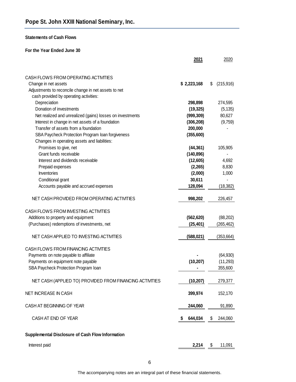#### **Statements of Cash Flows**

#### **For the Year Ended June 30**

|                                                           | 2021                   | 2020             |
|-----------------------------------------------------------|------------------------|------------------|
| CASH FLOWS FROM OPERATING ACTIVITIES                      |                        |                  |
| Change in net assets                                      | \$2,223,168            | \$<br>(215, 916) |
| Adjustments to reconcile change in net assets to net      |                        |                  |
| cash provided by operating activities:                    |                        |                  |
| Depreciation                                              | 298,898                | 274,595          |
| Donation of investments                                   | (19, 325)              | (5, 135)         |
| Net realized and unrealized (gains) losses on investments | (999, 309)             | 80,627           |
| Interest in change in net assets of a foundation          | (306, 208)             | (9,759)          |
| Transfer of assets from a foundation                      | 200,000                |                  |
| SBA Paycheck Protection Program Ioan forgiveness          | (355, 600)             |                  |
| Changes in operating assets and liabilities:              |                        |                  |
| Promises to give, net<br>Grant funds receivable           | (44, 361)              | 105,905          |
| Interest and dividends receivable                         | (140, 896)<br>(12,605) | 4,692            |
| Prepaid expenses                                          | (2, 265)               | 8,830            |
| Inventories                                               | (2,000)                | 1,000            |
| Conditional grant                                         | 30,611                 |                  |
| Accounts payable and accrued expenses                     | 128,094                | (18, 382)        |
| NET CASH PROVIDED FROM OPERATING ACTIVITIES               | 998,202                | 226,457          |
| CASH FLOWS FROM INVESTING ACTIVITIES                      |                        |                  |
| Additions to property and equipment                       | (562, 620)             | (88, 202)        |
| (Purchases) redemptions of investments, net               | (25, 401)              | (265, 462)       |
| NET CASH APPLIED TO INVESTING ACTIVITIES                  | (588,021)              | (353, 664)       |
| CASH FLOWS FROM FINANCING ACTIVITIES                      |                        |                  |
| Payments on note payable to affiliate                     |                        | (64, 930)        |
| Payments on equipment note payable                        | (10, 207)              | (11, 293)        |
| SBA Paycheck Protection Program Ioan                      |                        | 355,600          |
| NET CASH (APPLIED TO) PROVIDED FROM FINANCING ACTIVITIES  | (10, 207)              | 279,377          |
| NET INCREASE IN CASH                                      | 399,974                | 152,170          |
| CASH AT BEGINNING OF YEAR                                 | 244,060                | 91,890           |
| CASH AT END OF YEAR                                       | 644,034                | \$<br>244,060    |
| <b>Supplemental Disclosure of Cash Flow Information</b>   |                        |                  |
| Interest paid                                             | 2,214                  | 11,091           |
|                                                           |                        | \$               |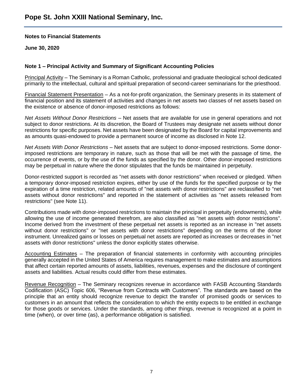#### **Notes to Financial Statements**

**June 30, 2020**

## **Note 1 – Principal Activity and Summary of Significant Accounting Policies**

Principal Activity – The Seminary is a Roman Catholic, professional and graduate theological school dedicated primarily to the intellectual, cultural and spiritual preparation of second-career seminarians for the priesthood.

Financial Statement Presentation – As a not-for-profit organization, the Seminary presents in its statement of financial position and its statement of activities and changes in net assets two classes of net assets based on the existence or absence of donor-imposed restrictions as follows:

*Net Assets Without Donor Restrictions* – Net assets that are available for use in general operations and not subject to donor restrictions. At its discretion, the Board of Trustees may designate net assets without donor restrictions for specific purposes. Net assets have been designated by the Board for capital improvements and as amounts quasi-endowed to provide a permanent source of income as disclosed in Note 12.

*Net Assets With Donor Restrictions* – Net assets that are subject to donor-imposed restrictions. Some donorimposed restrictions are temporary in nature, such as those that will be met with the passage of time, the occurrence of events, or by the use of the funds as specified by the donor. Other donor-imposed restrictions may be perpetual in nature where the donor stipulates that the funds be maintained in perpetuity.

Donor-restricted support is recorded as "net assets with donor restrictions" when received or pledged. When a temporary donor-imposed restriction expires, either by use of the funds for the specified purpose or by the expiration of a time restriction, related amounts of "net assets with donor restrictions" are reclassified to "net assets without donor restrictions" and reported in the statement of activities as "net assets released from restrictions" (see Note 11).

Contributions made with donor-imposed restrictions to maintain the principal in perpetuity (endowments), while allowing the use of income generated therefrom, are also classified as "net assets with donor restrictions". Income derived from the investment of these perpetual net assets is reported as an increase in "net assets without donor restrictions" or "net assets with donor restrictions" depending on the terms of the donor instrument. Unrealized gains or losses on perpetual net assets are reported as increases or decreases in "net assets with donor restrictions" unless the donor explicitly states otherwise.

Accounting Estimates – The preparation of financial statements in conformity with accounting principles generally accepted in the United States of America requires management to make estimates and assumptions that affect certain reported amounts of assets, liabilities, revenues, expenses and the disclosure of contingent assets and liabilities. Actual results could differ from these estimates.

Revenue Recognition – The Seminary recognizes revenue in accordance with FASB Accounting Standards Codification (ASC) Topic 606, "Revenue from Contracts with Customers". The standards are based on the principle that an entity should recognize revenue to depict the transfer of promised goods or services to customers in an amount that reflects the consideration to which the entity expects to be entitled in exchange for those goods or services. Under the standards, among other things, revenue is recognized at a point in time (when), or over time (as), a performance obligation is satisfied.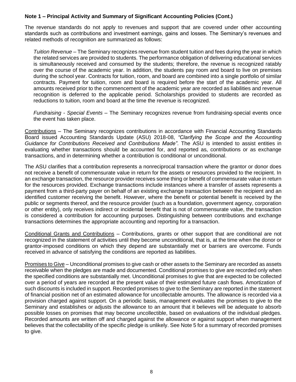#### **Note 1 – Principal Activity and Summary of Significant Accounting Policies (Cont.)**

The revenue standards do not apply to revenues and support that are covered under other accounting standards such as contributions and investment earnings, gains and losses. The Seminary's revenues and related methods of recognition are summarized as follows:

*Tuition Revenue* – The Seminary recognizes revenue from student tuition and fees during the year in which the related services are provided to students. The performance obligation of delivering educational services is simultaneously received and consumed by the students; therefore, the revenue is recognized ratably over the course of the academic year. In addition, the students pay room and board to live on premises during the school year. Contracts for tuition, room, and board are combined into a single portfolio of similar contracts. Payment for tuition, room and board is required before the start of the academic year. All amounts received prior to the commencement of the academic year are recorded as liabilities and revenue recognition is deferred to the applicable period. Scholarships provided to students are recorded as reductions to tuition, room and board at the time the revenue is recognized.

*Fundraising - Special Events* – The Seminary recognizes revenue from fundraising-special events once the event has taken place.

Contributions – The Seminary recognizes contributions in accordance with Financial Accounting Standards Board issued Accounting Standards Update (ASU) 2018-08, *"Clarifying the Scope and the Accounting Guidance for Contributions Received and Contributions Made"*. The ASU is intended to assist entities in evaluating whether transactions should be accounted for, and reported as, contributions or as exchange transactions, and in determining whether a contribution is conditional or unconditional.

The ASU clarifies that a contribution represents a nonreciprocal transaction where the grantor or donor does not receive a benefit of commensurate value in return for the assets or resources provided to the recipient. In an exchange transaction, the resource provider receives some thing or benefit of commensurate value in return for the resources provided. Exchange transactions include instances where a transfer of assets represents a payment from a third-party payer on behalf of an existing exchange transaction between the recipient and an identified customer receiving the benefit. However, where the benefit or potential benefit is received by the public or segments thereof, and the resource provider (such as a foundation, government agency, corporation or other entity), only receives indirect or incidental benefit that is not of commensurate value, the transaction is considered a contribution for accounting purposes. Distinguishing between contributions and exchange transactions determines the appropriate accounting and reporting for a transaction.

Conditional Grants and Contributions – Contributions, grants or other support that are conditional are not recognized in the statement of activities until they become unconditional, that is, at the time when the donor or grantor-imposed conditions on which they depend are substantially met or barriers are overcome. Funds received in advance of satisfying the conditions are reported as liabilities.

Promises to Give – Unconditional promises to give cash or other assets to the Seminary are recorded as assets receivable when the pledges are made and documented. Conditional promises to give are recorded only when the specified conditions are substantially met. Unconditional promises to give that are expected to be collected over a period of years are recorded at the present value of their estimated future cash flows. Amortization of such discounts is included in support. Recorded promises to give to the Seminary are reported in the statement of financial position net of an estimated allowance for uncollectable amounts. The allowance is recorded via a provision charged against support. On a periodic basis, management evaluates the promises to give to the Seminary and establishes or adjusts the allowance to an amount that it believes will be adequate to absorb possible losses on promises that may become uncollectible, based on evaluations of the individual pledges. Recorded amounts are written off and charged against the allowance or against support when management believes that the collectability of the specific pledge is unlikely. See Note 5 for a summary of recorded promises to give.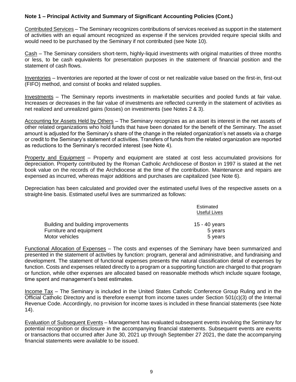### **Note 1 – Principal Activity and Summary of Significant Accounting Policies (Cont.)**

Contributed Services – The Seminary recognizes contributions of services received as support in the statement of activities with an equal amount recognized as expense if the services provided require special skills and would need to be purchased by the Seminary if not contributed (see Note 10).

Cash – The Seminary considers short-term, highly-liquid investments with original maturities of three months or less, to be cash equivalents for presentation purposes in the statement of financial position and the statement of cash flows.

Inventories – Inventories are reported at the lower of cost or net realizable value based on the first-in, first-out (FIFO) method, and consist of books and related supplies.

Investments – The Seminary reports investments in marketable securities and pooled funds at fair value. Increases or decreases in the fair value of investments are reflected currently in the statement of activities as net realized and unrealized gains (losses) on investments (see Notes 2 & 3).

Accounting for Assets Held by Others – The Seminary recognizes as an asset its interest in the net assets of other related organizations who hold funds that have been donated for the benefit of the Seminary. The asset amount is adjusted for the Seminary's share of the change in the related organization's net assets via a charge or credit to the Seminary's statement of activities. Transfers of funds from the related organization are reported as reductions to the Seminary's recorded interest (see Note 4).

Property and Equipment – Property and equipment are stated at cost less accumulated provisions for depreciation. Property contributed by the Roman Catholic Archdiocese of Boston in 1997 is stated at the net book value on the records of the Archdiocese at the time of the contribution. Maintenance and repairs are expensed as incurred, whereas major additions and purchases are capitalized (see Note 6).

Depreciation has been calculated and provided over the estimated useful lives of the respective assets on a straight-line basis. Estimated useful lives are summarized as follows:

|                                    | Estimated<br>Useful Lives |
|------------------------------------|---------------------------|
| Building and building improvements | 15 - 40 years             |
| Furniture and equipment            | 5 years                   |
| Motor vehicles                     | 5 years                   |

Functional Allocation of Expenses – The costs and expenses of the Seminary have been summarized and presented in the statement of activities by function: program, general and administrative, and fundraising and development. The statement of functional expenses presents the natural classification detail of expenses by function. Costs and expenses related directly to a program or a supporting function are charged to that program or function, while other expenses are allocated based on reasonable methods which include square footage, time spent and management's best estimates.

Income Tax – The Seminary is included in the United States Catholic Conference Group Ruling and in the Official Catholic Directory and is therefore exempt from income taxes under Section 501(c)(3) of the Internal Revenue Code. Accordingly, no provision for income taxes is included in these financial statements (see Note 14).

Evaluation of Subsequent Events – Management has evaluated subsequent events involving the Seminary for potential recognition or disclosure in the accompanying financial statements. Subsequent events are events or transactions that occurred after June 30, 2021 up through September 27 2021, the date the accompanying financial statements were available to be issued.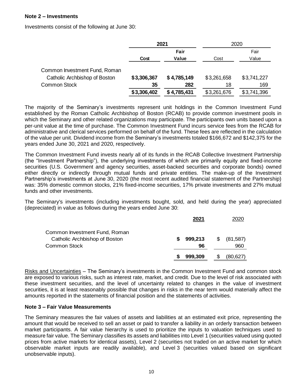#### **Note 2 – Investments**

Investments consist of the following at June 30:

|                                                                |                       | 2021        |             | 2020          |
|----------------------------------------------------------------|-----------------------|-------------|-------------|---------------|
|                                                                | Fair<br>Value<br>Cost |             | Cost        | Fair<br>Value |
| Common Investment Fund, Roman<br>Catholic Archbishop of Boston | \$3,306,367           | \$4,785,149 | \$3,261,658 | \$3,741,227   |
| <b>Common Stock</b>                                            | 35                    | 282         | 18          | 169           |
|                                                                | \$3,306,402           | \$4,785,431 | \$3,261,676 | \$3,741,396   |

The majority of the Seminary's investments represent unit holdings in the Common Investment Fund established by the Roman Catholic Archbishop of Boston (RCAB) to provide common investment pools in which the Seminary and other related organizations may participate. The participants own units based upon a per-unit value at the time of purchase. The Common Investment Fund incurs service fees from the RCAB for administrative and clerical services performed on behalf of the fund. These fees are reflected in the calculation of the value per unit. Dividend income from the Seminary's investments totaled \$166,672 and \$142,375 for the years ended June 30, 2021 and 2020, respectively.

The Common Investment Fund invests nearly all of its funds in the RCAB Collective Investment Partnership (the "Investment Partnership"), the underlying investments of which are primarily equity and fixed-income securities (U.S. Government and agency securities, asset-backed securities and corporate bonds) owned either directly or indirectly through mutual funds and private entities. The make-up of the Investment Partnership's investments at June 30, 2020 (the most recent audited financial statement of the Partnership) was: 35% domestic common stocks, 21% fixed-income securities, 17% private investments and 27% mutual funds and other investments.

The Seminary's investments (including investments bought, sold, and held during the year) appreciated (depreciated) in value as follows during the years ended June 30:

|                               | 2021    |    |           |
|-------------------------------|---------|----|-----------|
| Common Investment Fund, Roman |         |    |           |
| Catholic Archbishop of Boston | 999,213 | \$ | (81, 587) |
| Common Stock                  | 96      |    | 960       |
|                               | 999,309 | S  | (80,627)  |

Risks and Uncertainties – The Seminary's investments in the Common Investment Fund and common stock are exposed to various risks, such as interest rate, market, and credit. Due to the level of risk associated with these investment securities, and the level of uncertainty related to changes in the value of investment securities, it is at least reasonably possible that changes in risks in the near term would materially affect the amounts reported in the statements of financial position and the statements of activities.

#### **Note 3 – Fair Value Measurements**

The Seminary measures the fair values of assets and liabilities at an estimated exit price, representing the amount that would be received to sell an asset or paid to transfer a liability in an orderly transaction between market participants. A fair value hierarchy is used to prioritize the inputs to valuation techniques used to measure fair value. The Seminary classifies its assets and liabilities into Level 1 (securities valued using quoted prices from active markets for identical assets), Level 2 (securities not traded on an active market for which observable market inputs are readily available), and Level 3 (securities valued based on significant unobservable inputs).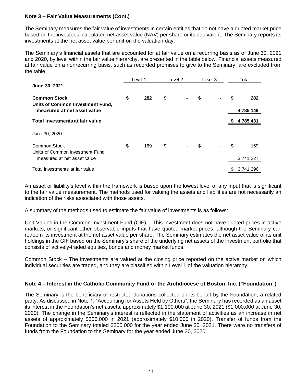#### **Note 3 – Fair Value Measurements (Cont.)**

The Seminary measures the fair value of investments in certain entities that do not have a quoted market price based on the investees' calculated net asset value (NAV) per share or its equivalent. The Seminary reports its investments at the net asset value per unit on the valuation day.

The Seminary's financial assets that are accounted for at fair value on a recurring basis as of June 30, 2021 and 2020, by level within the fair value hierarchy, are presented in the table below. Financial assets measured at fair value on a nonrecurring basis, such as recorded promises to give to the Seminary, are excluded from the table.

| June 30, 2021                                                                          |     | Level 1 | Level <sub>2</sub>   |      | Level 3 |    | Total            |
|----------------------------------------------------------------------------------------|-----|---------|----------------------|------|---------|----|------------------|
| <b>Common Stock</b><br>Units of Common Investment Fund,<br>measured at net asset value | -\$ | 282     | \$<br>$\sim$         | - \$ |         | \$ | 282<br>4,785,149 |
| Total investments at fair value                                                        |     |         |                      |      |         | S  | 4,785,431        |
| June 30, 2020                                                                          |     |         |                      |      |         |    |                  |
| <b>Common Stock</b><br>Units of Common Investment Fund,<br>measured at net asset value | -S  | 169     | \$<br>$\blacksquare$ | \$   |         | \$ | 169<br>3,741,227 |
| Total investments at fair value                                                        |     |         |                      |      |         | S. | 3,741,396        |

An asset or liability's level within the framework is based upon the lowest level of any input that is significant to the fair value measurement. The methods used for valuing the assets and liabilities are not necessarily an indication of the risks associated with those assets.

A summary of the methods used to estimate the fair value of investments is as follows:

Unit Values in the Common Investment Fund (CIF) – This investment does not have quoted prices in active markets, or significant other observable inputs that have quoted market prices, although the Seminary can redeem its investment at the net asset value per share. The Seminary estimates the net asset value of its unit holdings in the CIF based on the Seminary's share of the underlying net assets of the investment portfolio that consists of actively-traded equities, bonds and money market funds.

Common Stock – The investments are valued at the closing price reported on the active market on which individual securities are traded, and they are classified within Level 1 of the valuation hierarchy.

#### **Note 4 – Interest in the Catholic Community Fund of the Archdiocese of Boston, Inc. ("Foundation")**

The Seminary is the beneficiary of restricted donations collected on its behalf by the Foundation, a related party. As discussed in Note 1, "Accounting for Assets Held by Others", the Seminary has recorded as an asset its interest in the Foundation's net assets, approximately \$1,100,000 at June 30, 2021 (\$1,000,000 at June 30, 2020). The change in the Seminary's interest is reflected in the statement of activities as an increase in net assets of approximately \$306,000 in 2021 (approximately \$10,000 in 2020). Transfer of funds from the Foundation to the Seminary totaled \$200,000 for the year ended June 30, 2021. There were no transfers of funds from the Foundation to the Seminary for the year ended June 30, 2020.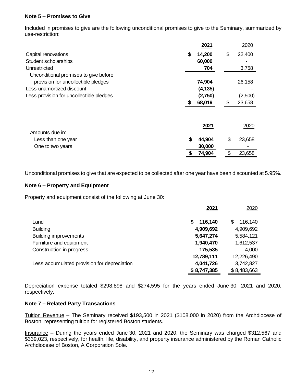#### **Note 5 – Promises to Give**

Included in promises to give are the following unconditional promises to give to the Seminary, summarized by use-restriction:

| 2021         |    | 2020    |
|--------------|----|---------|
| \$<br>14,200 | \$ | 22,400  |
| 60,000       |    |         |
| 704          |    | 3,758   |
|              |    |         |
| 74,904       |    | 26,158  |
| (4, 135)     |    |         |
| (2,750)      |    | (2,500) |
| \$<br>68,019 | \$ | 23,658  |
|              |    |         |
| 2021         |    | 2020    |
|              |    |         |
| \$<br>44,904 | \$ | 23,658  |
| 30,000       |    |         |
| 74,904       | S  | 23,658  |
|              |    |         |

Unconditional promises to give that are expected to be collected after one year have been discounted at 5.95%.

#### **Note 6 – Property and Equipment**

Property and equipment consist of the following at June 30:

|                                             | 2021         | 2020        |
|---------------------------------------------|--------------|-------------|
| Land                                        | 116,140<br>S | 116,140     |
| <b>Building</b>                             | 4,909,692    | 4,909,692   |
| <b>Building improvements</b>                | 5,647,274    | 5,584,121   |
| Furniture and equipment                     | 1,940,470    | 1,612,537   |
| Construction in progress                    | 175,535      | 4,000       |
|                                             | 12,789,111   | 12,226,490  |
| Less accumulated provision for depreciation | 4,041,726    | 3,742,827   |
|                                             | \$8,747,385  | \$8,483,663 |

Depreciation expense totaled \$298,898 and \$274,595 for the years ended June 30, 2021 and 2020, respectively.

#### **Note 7 – Related Party Transactions**

Tuition Revenue – The Seminary received \$193,500 in 2021 (\$108,000 in 2020) from the Archdiocese of Boston, representing tuition for registered Boston students.

Insurance – During the years ended June 30, 2021 and 2020, the Seminary was charged \$312,567 and \$339,023, respectively, for health, life, disability, and property insurance administered by the Roman Catholic Archdiocese of Boston, A Corporation Sole.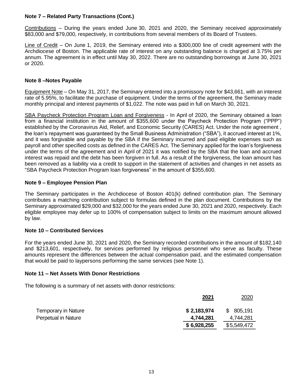#### **Note 7 – Related Party Transactions (Cont.)**

Contributions – During the years ended June 30, 2021 and 2020, the Seminary received approximately \$83,000 and \$79,000, respectively, in contributions from several members of its Board of Trustees.

Line of Credit – On June 1, 2019, the Seminary entered into a \$300,000 line of credit agreement with the Archdiocese of Boston. The applicable rate of interest on any outstanding balance is charged at 3.75% per annum. The agreement is in effect until May 30, 2022. There are no outstanding borrowings at June 30, 2021 or 2020.

#### **Note 8 –Notes Payable**

Equipment Note – On May 31, 2017, the Seminary entered into a promissory note for \$43,661, with an interest rate of 5.95%, to facilitate the purchase of equipment. Under the terms of the agreement, the Seminary made monthly principal and interest payments of \$1,022. The note was paid in full on March 30, 2021.

SBA Paycheck Protection Program Loan and Forgiveness - In April of 2020, the Seminary obtained a loan from a financial institution in the amount of \$355,600 under the Paycheck Protection Program ("PPP") established by the Coronavirus Aid, Relief, and Economic Security (CARES) Act. Under the note agreement , the loan's repayment was guaranteed by the Small Business Administration ("SBA"), it accrued interest at 1%, and it was forgivable and payable by the SBA if the Seminary incurred and paid eligible expenses such as payroll and other specified costs as defined in the CARES Act. The Seminary applied for the loan's forgiveness under the terms of the agreement and in April of 2021 it was notified by the SBA that the loan and accrued interest was repaid and the debt has been forgiven in full. As a result of the forgiveness, the loan amount has been removed as a liability via a credit to support in the statement of activities and changes in net assets as "SBA Paycheck Protection Program loan forgiveness" in the amount of \$355,600.

### **Note 9 – Employee Pension Plan**

The Seminary participates in the Archdiocese of Boston 401(k) defined contribution plan. The Seminary contributes a matching contribution subject to formulas defined in the plan document. Contributions by the Seminary approximated \$29,000 and \$32,000 for the years ended June 30, 2021 and 2020, respectively. Each eligible employee may defer up to 100% of compensation subject to limits on the maximum amount allowed by law.

#### **Note 10 – Contributed Services**

For the years ended June 30, 2021 and 2020, the Seminary recorded contributions in the amount of \$182,140 and \$213,601, respectively, for services performed by religious personnel who serve as faculty. These amounts represent the differences between the actual compensation paid, and the estimated compensation that would be paid to laypersons performing the same services (see Note 1).

#### **Note 11 – Net Assets With Donor Restrictions**

The following is a summary of net assets with donor restrictions:

|                            | 2021        | 2020          |
|----------------------------|-------------|---------------|
| <b>Temporary in Nature</b> | \$2,183,974 | 805,191<br>S. |
| Perpetual in Nature        | 4,744,281   | 4,744,281     |
|                            | \$6,928,255 | \$5,549,472   |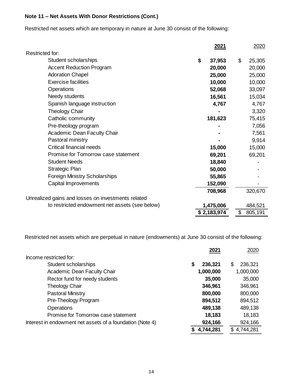## **Note 11 – Net Assets With Donor Restrictions (Cont.)**

Restricted net assets which are temporary in nature at June 30 consist of the following:

|                                                    | <u>2021</u>  | 2020          |
|----------------------------------------------------|--------------|---------------|
| <b>Restricted for:</b>                             |              |               |
| Student scholarships                               | \$<br>37,953 | \$<br>25,305  |
| <b>Accent Reduction Program</b>                    | 20,000       | 20,000        |
| <b>Adoration Chapel</b>                            | 25,000       | 25,000        |
| <b>Exercise facilities</b>                         | 10,000       | 10,000        |
| Operations                                         | 52,068       | 33,097        |
| Needy students                                     | 16,561       | 15,034        |
| Spanish language instruction                       | 4,767        | 4,767         |
| <b>Theology Chair</b>                              |              | 3,320         |
| Catholic community                                 | 181,623      | 75,415        |
| Pre-theology program                               |              | 7,056         |
| Academic Dean Faculty Chair                        |              | 7,561         |
| Pastoral ministry                                  |              | 9,914         |
| <b>Critical financial needs</b>                    | 15,000       | 15,000        |
| Promise for Tomorrow case statement                | 69,201       | 69,201        |
| <b>Student Needs</b>                               | 18,840       |               |
| Strategic Plan                                     | 50,000       |               |
| <b>Foreign Ministry Scholarships</b>               | 55,865       |               |
| Capital Improvements                               | 152,090      |               |
|                                                    | 708,968      | 320,670       |
| Unrealized gains and losses on investments related |              |               |
| to restricted endowment net assets (see below)     | 1,475,006    | 484,521       |
|                                                    | \$2,183,974  | \$<br>805,191 |

Restricted net assets which are perpetual in nature (endowments) at June 30 consist of the following:

|                                                           | 2021         | 2020           |
|-----------------------------------------------------------|--------------|----------------|
| Income restricted for:                                    |              |                |
| Student scholarships                                      | 236,321<br>S | \$<br>236,321  |
| Academic Dean Faculty Chair                               | 1,000,000    | 1,000,000      |
| Rector fund for needy students                            | 35,000       | 35,000         |
| <b>Theology Chair</b>                                     | 346,961      | 346,961        |
| <b>Pastoral Ministry</b>                                  | 800,000      | 800,000        |
| Pre-Theology Program                                      | 894,512      | 894,512        |
| <b>Operations</b>                                         | 489,138      | 489,138        |
| Promise for Tomorrow case statement                       | 18,183       | 18,183         |
| Interest in endowment net assets of a foundation (Note 4) | 924,166      | 924,166        |
|                                                           | 4,744,281    | 4,744,281<br>S |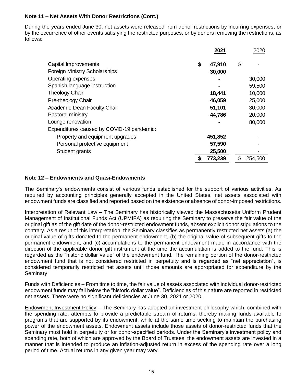## **Note 11 – Net Assets With Donor Restrictions (Cont.)**

During the years ended June 30, net assets were released from donor restrictions by incurring expenses, or by the occurrence of other events satisfying the restricted purposes, or by donors removing the restrictions, as follows:

|                                           | 2021          | 2020          |
|-------------------------------------------|---------------|---------------|
| Capital Improvements                      | \$<br>47,910  | \$            |
| <b>Foreign Ministry Scholarships</b>      | 30,000        |               |
| Operating expenses                        |               | 30,000        |
| Spanish language instruction              |               | 59,500        |
| <b>Theology Chair</b>                     | 18,441        | 10,000        |
| Pre-theology Chair                        | 46,059        | 25,000        |
| <b>Academic Dean Faculty Chair</b>        | 51,101        | 30,000        |
| Pastoral ministry                         | 44,786        | 20,000        |
| Lounge renovation                         |               | 80,000        |
| Expenditures caused by COVID-19 pandemic: |               |               |
| Property and equipment upgrades           | 451,852       |               |
| Personal protective equipment             | 57,590        |               |
| Student grants                            | 25,500        |               |
|                                           | \$<br>773,239 | \$<br>254,500 |

#### **Note 12 – Endowments and Quasi-Endowments**

The Seminary's endowments consist of various funds established for the support of various activities. As required by accounting principles generally accepted in the United States, net assets associated with endowment funds are classified and reported based on the existence or absence of donor-imposed restrictions.

Interpretation of Relevant Law – The Seminary has historically viewed the Massachusetts Uniform Prudent Management of Institutional Funds Act (UPMIFA) as requiring the Seminary to preserve the fair value of the original gift as of the gift date of the donor-restricted endowment funds, absent explicit donor stipulations to the contrary. As a result of this interpretation, the Seminary classifies as permanently restricted net assets (a) the original value of gifts donated to the permanent endowment, (b) the original value of subsequent gifts to the permanent endowment, and (c) accumulations to the permanent endowment made in accordance with the direction of the applicable donor gift instrument at the time the accumulation is added to the fund. This is regarded as the "historic dollar value" of the endowment fund. The remaining portion of the donor-restricted endowment fund that is not considered restricted in perpetuity and is regarded as "net appreciation", is considered temporarily restricted net assets until those amounts are appropriated for expenditure by the Seminary.

Funds with Deficiencies – From time to time, the fair value of assets associated with individual donor-restricted endowment funds may fall below the "historic dollar value". Deficiencies of this nature are reported in restricted net assets. There were no significant deficiencies at June 30, 2021 or 2020.

Endowment Investment Policy – The Seminary has adopted an investment philosophy which, combined with the spending rate, attempts to provide a predictable stream of returns, thereby making funds available to programs that are supported by its endowment, while at the same time seeking to maintain the purchasing power of the endowment assets. Endowment assets include those assets of donor-restricted funds that the Seminary must hold in perpetuity or for donor-specified periods. Under the Seminary's investment policy and spending rate, both of which are approved by the Board of Trustees, the endowment assets are invested in a manner that is intended to produce an inflation-adjusted return in excess of the spending rate over a long period of time. Actual returns in any given year may vary.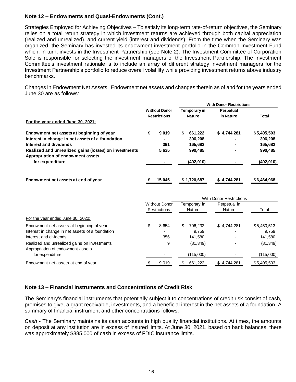### **Note 12 – Endowments and Quasi-Endowments (Cont.)**

Strategies Employed for Achieving Objectives - To satisfy its long-term rate-of-return objectives, the Seminary relies on a total return strategy in which investment returns are achieved through both capital appreciation (realized and unrealized), and current yield (interest and dividends). From the time when the Seminary was organized, the Seminary has invested its endowment investment portfolio in the Common Investment Fund which, in turn, invests in the Investment Partnership (see Note 2). The Investment Committee of Corporation Sole is responsible for selecting the investment managers of the Investment Partnership. The Investment Committee's investment rationale is to include an array of different strategy investment managers for the Investment Partnership's portfolio to reduce overall volatility while providing investment returns above industry benchmarks.

Changes in Endowment Net Assets - Endowment net assets and changes therein as of and for the years ended June 30 are as follows:

|                                                                                                                                                                                                                                          |                                             |                       | <b>With Donor Restrictions</b> |                                                        |                        |                                                            |
|------------------------------------------------------------------------------------------------------------------------------------------------------------------------------------------------------------------------------------------|---------------------------------------------|-----------------------|--------------------------------|--------------------------------------------------------|------------------------|------------------------------------------------------------|
| For the year ended June 30, 2021:                                                                                                                                                                                                        | <b>Without Donor</b><br><b>Restrictions</b> |                       |                                | Temporary in<br><b>Nature</b>                          | Perpetual<br>in Nature | Total                                                      |
| Endowment net assets at beginning of year<br>Interest in change in net assets of a foundation<br>Interest and dividends<br>Realized and unrealized gains (losses) on investments<br>Appropriation of endowment assets<br>for expenditure | S                                           | 9,019<br>391<br>5.635 | S                              | 661,222<br>306,208<br>165,682<br>990,485<br>(402, 910) | \$4,744,281            | \$5,405,503<br>306,208<br>165,682<br>990,485<br>(402, 910) |
| Endowment net assets at end of year                                                                                                                                                                                                      |                                             | 15,045                |                                | \$1,720,687                                            | \$4,744,281            | \$6,464,968                                                |

|                                                                                   | <b>With Donor Restrictions</b> |                      |    |              |              |             |
|-----------------------------------------------------------------------------------|--------------------------------|----------------------|----|--------------|--------------|-------------|
|                                                                                   |                                | <b>Without Donor</b> |    | Temporary in | Perpetual in |             |
|                                                                                   |                                | <b>Restrictions</b>  |    | Nature       | Nature       | Total       |
| For the year ended June 30, 2020:                                                 |                                |                      |    |              |              |             |
| Endowment net assets at beginning of year                                         | \$                             | 8,654                | \$ | 706.232      | \$4,744,281  | \$5,450,513 |
| Interest in change in net assets of a foundation                                  |                                |                      |    | 9.759        |              | 9,759       |
| Interest and dividends                                                            |                                | 356                  |    | 141,580      |              | 141,580     |
| Realized and unrealized gains on investments<br>Appropriation of endowment assets |                                | 9                    |    | (81, 349)    |              | (81, 349)   |
| for expenditure                                                                   |                                |                      |    | (115,000)    |              | (115,000)   |
| Endowment net assets at end of year                                               |                                | 9,019                | S. | 661,222      | \$4,744,281  | \$5,405,503 |

#### **Note 13 – Financial Instruments and Concentrations of Credit Risk**

The Seminary's financial instruments that potentially subject it to concentrations of credit risk consist of cash, promises to give, a grant receivable, investments, and a beneficial interest in the net assets of a foundation. A summary of financial instrument and other concentrations follows.

*Cash* - The Seminary maintains its cash accounts in high quality financial institutions. At times, the amounts on deposit at any institution are in excess of insured limits. At June 30, 2021, based on bank balances, there was approximately \$385,000 of cash in excess of FDIC insurance limits.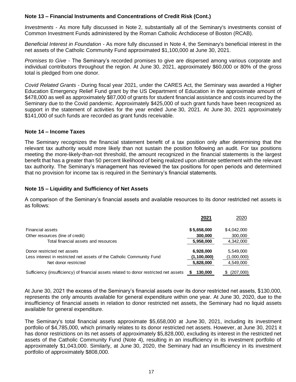#### **Note 13 – Financial Instruments and Concentrations of Credit Risk (Cont.)**

*Investments* - As more fully discussed in Note 2, substantially all of the Seminary's investments consist of Common Investment Funds administered by the Roman Catholic Archdiocese of Boston (RCAB).

*Beneficial Interest in Foundation* - As more fully discussed in Note 4, the Seminary's beneficial interest in the net assets of the Catholic Community Fund approximated \$1,100,000 at June 30, 2021.

*Promises to Give* - The Seminary's recorded promises to give are dispersed among various corporate and individual contributors throughout the region. At June 30, 2021, approximately \$60,000 or 80% of the gross total is pledged from one donor.

*Covid Related Grants* - During fiscal year 2021, under the CARES Act, the Seminary was awarded a Higher Education Emergency Relief Fund grant by the US Department of Education in the approximate amount of \$478,000 as well as approximately \$87,000 of grants for student financial assistance and costs incurred by the Seminary due to the Covid pandemic. Approximately \$425,000 of such grant funds have been recognized as support in the statement of activities for the year ended June 30, 2021. At June 30, 2021 approximately \$141,000 of such funds are recorded as grant funds receivable.

#### **Note 14 – Income Taxes**

The Seminary recognizes the financial statement benefit of a tax position only after determining that the relevant tax authority would more likely than not sustain the position following an audit. For tax positions meeting the more-likely-than-not threshold, the amount recognized in the financial statements is the largest benefit that has a greater than 50 percent likelihood of being realized upon ultimate settlement with the relevant tax authority. The Seminary's management has reviewed the tax positions for open periods and determined that no provision for income tax is required in the Seminary's financial statements.

#### **Note 15 – Liquidity and Sufficiency of Net Assets**

A comparison of the Seminary's financial assets and available resources to its donor restricted net assets is as follows:

|                                                                                        | 2021          | 2020        |
|----------------------------------------------------------------------------------------|---------------|-------------|
| <b>Financial assets</b>                                                                | \$5,658,000   | \$4,042,000 |
| Other resources (line of credit)                                                       | 300,000       | 300,000     |
| Total financial assets and resources                                                   | 5,958,000     | 4,342,000   |
| Donor restricted net assets                                                            | 6,928,000     | 5,549,000   |
| Less interest in restricted net assets of the Catholic Community Fund                  | (1, 100, 000) | (1,000,000) |
| Net donor restricted                                                                   | 5,828,000     | 4,549,000   |
| Sufficiency (insufficiency) of financial assets related to donor restricted net assets | 130,000       | (207,000)   |

At June 30, 2021 the excess of the Seminary's financial assets over its donor restricted net assets, \$130,000, represents the only amounts available for general expenditure within one year. At June 30, 2020, due to the insufficiency of financial assets in relation to donor restricted net assets, the Seminary had no liquid assets available for general expenditure.

The Seminary's total financial assets approximate \$5,658,000 at June 30, 2021, including its investment portfolio of \$4,785,000, which primarily relates to its donor restricted net assets. However, at June 30, 2021 it has donor restrictions on its net assets of approximately \$5,828,000, excluding its interest in the restricted net assets of the Catholic Community Fund (Note 4), resulting in an insufficiency in its investment portfolio of approximately \$1,043,000. Similarly, at June 30, 2020, the Seminary had an insufficiency in its investment portfolio of approximately \$808,000.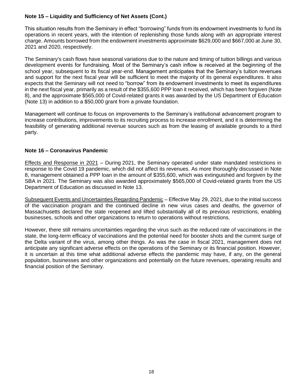## **Note 15 – Liquidity and Sufficiency of Net Assets (Cont.)**

This situation results from the Seminary in effect "borrowing" funds from its endowment investments to fund its operations in recent years, with the intention of replenishing those funds along with an appropriate interest charge. Amounts borrowed from the endowment investments approximate \$629,000 and \$667,000 at June 30, 2021 and 2020, respectively.

The Seminary's cash flows have seasonal variations due to the nature and timing of tuition billings and various development events for fundraising. Most of the Seminary's cash inflow is received at the beginning of the school year, subsequent to its fiscal year-end. Management anticipates that the Seminary's tuition revenues and support for the next fiscal year will be sufficient to meet the majority of its general expenditures. It also expects that the Seminary will not need to "borrow" from its endowment investments to meet its expenditures in the next fiscal year, primarily as a result of the \$355,600 PPP loan it received, which has been forgiven (Note 8), and the approximate \$565,000 of Covid-related grants it was awarded by the US Department of Education (Note 13) in addition to a \$50,000 grant from a private foundation.

Management will continue to focus on improvements to the Seminary's institutional advancement program to increase contributions, improvements to its recruiting process to increase enrollment, and it is determining the feasibility of generating additional revenue sources such as from the leasing of available grounds to a third party.

#### **Note 16 – Coronavirus Pandemic**

Effects and Response in 2021 – During 2021, the Seminary operated under state mandated restrictions in response to the Covid 19 pandemic, which did not affect its revenues. As more thoroughly discussed in Note 8, management obtained a PPP loan in the amount of \$355,600, which was extinguished and forgiven by the SBA in 2021. The Seminary was also awarded approximately \$565,000 of Covid-related grants from the US Department of Education as discussed in Note 13.

Subsequent Events and Uncertainties Regarding Pandemic – Effective May 29, 2021, due to the initial success of the vaccination program and the continued decline in new virus cases and deaths, the governor of Massachusetts declared the state reopened and lifted substantially all of its previous restrictions, enabling businesses, schools and other organizations to return to operations without restrictions.

However, there still remains uncertainties regarding the virus such as the reduced rate of vaccinations in the state, the long-term efficacy of vaccinations and the potential need for booster shots and the current surge of the Delta variant of the virus, among other things. As was the case in fiscal 2021, management does not anticipate any significant adverse effects on the operations of the Seminary or its financial position. However, it is uncertain at this time what additional adverse effects the pandemic may have, if any, on the general population, businesses and other organizations and potentially on the future revenues, operating results and financial position of the Seminary.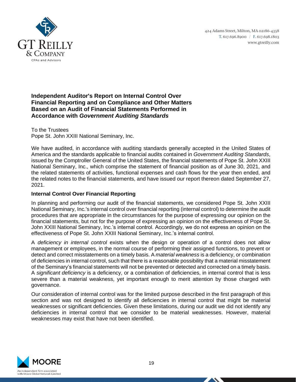



## **Independent Auditor's Report on Internal Control Over Financial Reporting and on Compliance and Other Matters Based on an Audit of Financial Statements Performed in Accordance with** *Government Auditing Standards*

To the Trustees Pope St. John XXIII National Seminary, Inc.

We have audited, in accordance with auditing standards generally accepted in the United States of America and the standards applicable to financial audits contained in *Government Auditing Standards*, issued by the Comptroller General of the United States, the financial statements of Pope St. John XXIII National Seminary, Inc., which comprise the statement of financial position as of June 30, 2021, and the related statements of activities, functional expenses and cash flows for the year then ended, and the related notes to the financial statements, and have issued our report thereon dated September 27, 2021.

#### **Internal Control Over Financial Reporting**

In planning and performing our audit of the financial statements, we considered Pope St. John XXIII National Seminary, Inc.'s internal control over financial reporting (internal control) to determine the audit procedures that are appropriate in the circumstances for the purpose of expressing our opinion on the financial statements, but not for the purpose of expressing an opinion on the effectiveness of Pope St. John XXIII National Seminary, Inc.'s internal control. Accordingly, we do not express an opinion on the effectiveness of Pope St. John XXIII National Seminary, Inc.'s internal control.

A *deficiency in internal control* exists when the design or operation of a control does not allow management or employees, in the normal course of performing their assigned functions, to prevent or detect and correct misstatements on a timely basis. A *material weakness* is a deficiency, or combination of deficiencies in internal control, such that there is a reasonable possibility that a material misstatement of the Seminary's financial statements will not be prevented or detected and corrected on a timely basis. A *significant deficiency* is a deficiency, or a combination of deficiencies, in internal control that is less severe than a material weakness, yet important enough to merit attention by those charged with governance.

Our consideration of internal control was for the limited purpose described in the first paragraph of this section and was not designed to identify all deficiencies in internal control that might be material weaknesses or significant deficiencies. Given these limitations, during our audit we did not identify any deficiencies in internal control that we consider to be material weaknesses. However, material weaknesses may exist that have not been identified.